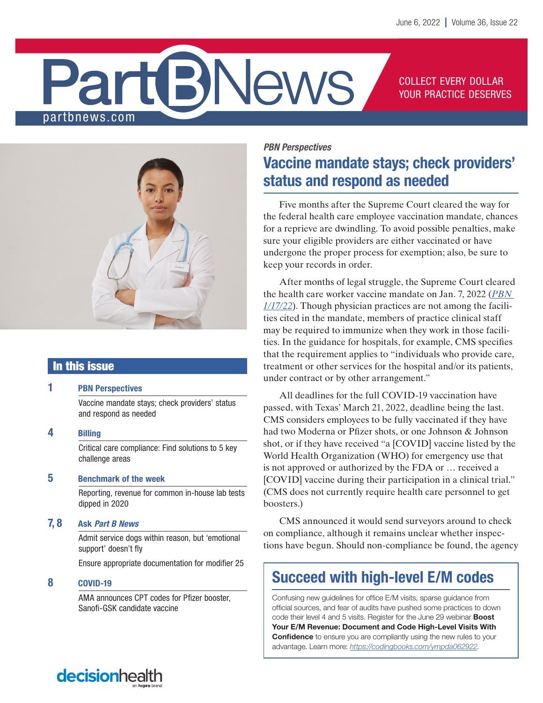# **News** partbnews.com

COLLECT EVERY DOLLAR YOUR PRACTICE DESERVES



# In this issue

# 1 PBN Perspectives

Vaccine mandate stays; check providers' status and respond as needed

4 Billing

Critical care compliance: Find solutions to 5 key challenge areas

# 5 Benchmark of the week

Reporting, revenue for common in-house lab tests dipped in 2020

# 7, 8 Ask *Part B News*

Admit service dogs within reason, but 'emotional support' doesn't fly

Ensure appropriate documentation for modifier 25

# 8 COVID-19

AMA announces CPT codes for Pfizer booster, Sanofi-GSK candidate vaccine

# *PBN Perspectives* Vaccine mandate stays; check providers' status and respond as needed

Five months after the Supreme Court cleared the way for the federal health care employee vaccination mandate, chances for a reprieve are dwindling. To avoid possible penalties, make sure your eligible providers are either vaccinated or have undergone the proper process for exemption; also, be sure to keep your records in order.

After months of legal struggle, the Supreme Court cleared the health care worker vaccine mandate on Jan. 7, 2022 (*[PBN](https://pbn.decisionhealth.com/Articles/Detail.aspx?id=534207)  [1/17/22](https://pbn.decisionhealth.com/Articles/Detail.aspx?id=534207)*). Though physician practices are not among the facilities cited in the mandate, members of practice clinical staff may be required to immunize when they work in those facilities. In the guidance for hospitals, for example, CMS specifies that the requirement applies to "individuals who provide care, treatment or other services for the hospital and/or its patients, under contract or by other arrangement."

All deadlines for the full COVID-19 vaccination have passed, with Texas' March 21, 2022, deadline being the last. CMS considers employees to be fully vaccinated if they have had two Moderna or Pfizer shots, or one Johnson & Johnson shot, or if they have received "a [COVID] vaccine listed by the World Health Organization (WHO) for emergency use that is not approved or authorized by the FDA or … received a [COVID] vaccine during their participation in a clinical trial." (CMS does not currently require health care personnel to get boosters.)

CMS announced it would send surveyors around to check on compliance, although it remains unclear whether inspections have begun. Should non-compliance be found, the agency

# Succeed with high-level E/M codes

Confusing new guidelines for office E/M visits, sparse guidance from official sources, and fear of audits have pushed some practices to down code their level 4 and 5 visits. Register for the June 29 webinar **Boost** Your E/M Revenue: Document and Code High-Level Visits With **Confidence** to ensure you are compliantly using the new rules to your advantage. Learn more: *<https://codingbooks.com/ympda062922>*.

# decisionheal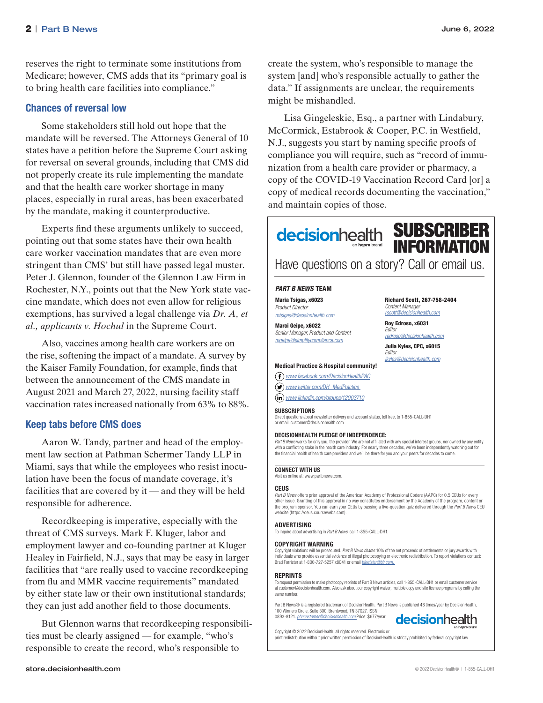reserves the right to terminate some institutions from Medicare; however, CMS adds that its "primary goal is to bring health care facilities into compliance."

# Chances of reversal low

Some stakeholders still hold out hope that the mandate will be reversed. The Attorneys General of 10 states have a petition before the Supreme Court asking for reversal on several grounds, including that CMS did not properly create its rule implementing the mandate and that the health care worker shortage in many places, especially in rural areas, has been exacerbated by the mandate, making it counterproductive.

Experts find these arguments unlikely to succeed, pointing out that some states have their own health care worker vaccination mandates that are even more stringent than CMS' but still have passed legal muster. Peter J. Glennon, founder of the Glennon Law Firm in Rochester, N.Y., points out that the New York state vaccine mandate, which does not even allow for religious exemptions, has survived a legal challenge via *Dr. A, et al., applicants v. Hochul* in the Supreme Court.

Also, vaccines among health care workers are on the rise, softening the impact of a mandate. A survey by the Kaiser Family Foundation, for example, finds that between the announcement of the CMS mandate in August 2021 and March 27, 2022, nursing facility staff vaccination rates increased nationally from 63% to 88%.

### Keep tabs before CMS does

Aaron W. Tandy, partner and head of the employment law section at Pathman Schermer Tandy LLP in Miami, says that while the employees who resist inoculation have been the focus of mandate coverage, it's facilities that are covered by it — and they will be held responsible for adherence.

Recordkeeping is imperative, especially with the threat of CMS surveys. Mark F. Kluger, labor and employment lawyer and co-founding partner at Kluger Healey in Fairfield, N.J., says that may be easy in larger facilities that "are really used to vaccine recordkeeping from flu and MMR vaccine requirements" mandated by either state law or their own institutional standards; they can just add another field to those documents.

But Glennon warns that recordkeeping responsibilities must be clearly assigned — for example, "who's responsible to create the record, who's responsible to

create the system, who's responsible to manage the system [and] who's responsible actually to gather the data." If assignments are unclear, the requirements might be mishandled.

Lisa Gingeleskie, Esq., a partner with Lindabury, McCormick, Estabrook & Cooper, P.C. in Westfield, N.J., suggests you start by naming specific proofs of compliance you will require, such as "record of immunization from a health care provider or pharmacy, a copy of the COVID-19 Vaccination Record Card [or] a copy of medical records documenting the vaccination," and maintain copies of those.

# **decisionhealth SUBSCRIBER INFORMATION**

Have questions on a story? Call or email us.

Richard Scott, 267-758-2404

*redroso@decisionhealth.com* Julia Kyles, CPC, x6015

*[jkyles@decisionhealth.com](mailto:jkyles@decisionhealth.com)*

*Content Manager rscott@decisionhealth.com* Roy Edroso, x6031 *Editor*

*Editor*

#### **PART B NEWS TEAM**

Maria Tsigas, x6023 *Product Director*

*mtsigas@decisionhealth.com*

Marci Geipe, x6022 *Senior Manager, Product and Content mgeipe@simplifycompliance.com*

#### Medical Practice & Hospital community!

*[www.facebook.com/DecisionHealthPAC](https://www.facebook.com/DecisionHealthMP)*

*[www.t](http://twitter.com/DH_MedPractice )witter.com/DH\_MedPractice* 

*[www.linkedin.com/groups/12003710](https://www.linkedin.com/groups/4048762/)*

#### **SURSCRIPTIONS**

Direct questions about newsletter delivery and account status, toll free, to 1-855-CALL-DH1 or email: customer@decisionhealth.com

#### DECISIONHEALTH PLEDGE OF INDEPENDENCE:

*Part B News* works for only you, the provider. We are not affiliated with any special interest groups, nor owned by any entity with a conflicting stake in the health care industry. For nearly three decades, we've been independently watching out for the financial health of health care providers and we'll be there for you and your peers for decades to come.

#### CONNECT WITH US

Visit us online at: www.partbnews.com.

#### **CEUS**

*Part B News* offers prior approval of the American Academy of Professional Coders (AAPC) for 0.5 CEUs for every other issue. Granting of this approval in no way constitutes endorsement by the Academy of the program, content or the program sponsor. You can earn your CEUs by passing a five-question quiz delivered through the *Part B News* CEU website [\(https://ceus.coursewebs.com](https://ceus.coursewebs.com)).

#### ADVERTISING

To inquire about advertising in *Part B News,* call 1-855-CALL-DH1.

#### COPYRIGHT WARNING

Copyright violations will be prosecuted. *Part B News shares* 10% of the net proceeds of settlements or jury awards with individuals who provide essential evidence of illegal photocopying or electronic redistribution. To report violations contact: Brad Forrister at 1-800-727-5257 x8041 or email *bforrister@blr.com.* 

#### REPRINTS

To request permission to make photocopy reprints of Part B News articles, call 1-855-CALL-DH1 or email customer service at customer@decisionhealth.com. Also ask about our copyright waiver, multiple copy and site license programs by calling the same number.

Part B News® is a registered trademark of DecisionHealth. Part B News is published 48 times/year by DecisionHealth, 100 Winners Circle, Suite 300, Brentwood, TN 37027. ISSN 0893-8121. *pbncustomer@decisionhealth.com* Price: \$677/year.



Copyright © 2022 DecisionHealth, all rights reserved. Electronic or print redistribution without prior written permission of DecisionHealth is strictly prohibited by federal copyright law.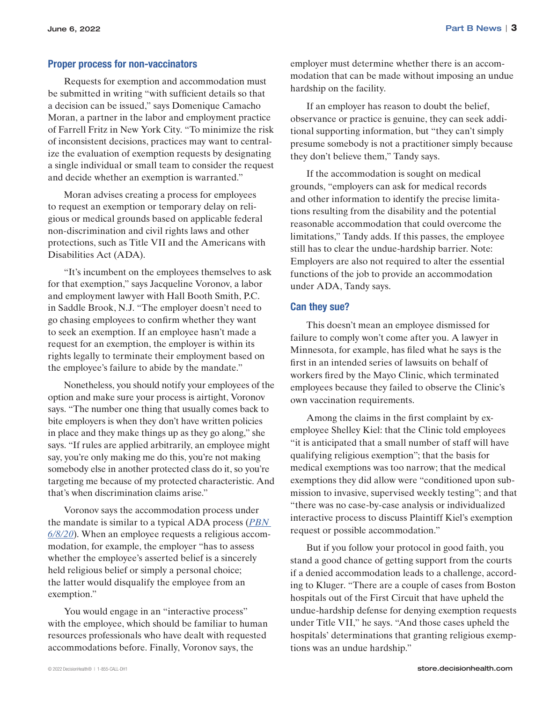## Proper process for non-vaccinators

Requests for exemption and accommodation must be submitted in writing "with sufficient details so that a decision can be issued," says Domenique Camacho Moran, a partner in the labor and employment practice of Farrell Fritz in New York City. "To minimize the risk of inconsistent decisions, practices may want to centralize the evaluation of exemption requests by designating a single individual or small team to consider the request and decide whether an exemption is warranted."

Moran advises creating a process for employees to request an exemption or temporary delay on religious or medical grounds based on applicable federal non-discrimination and civil rights laws and other protections, such as Title VII and the Americans with Disabilities Act (ADA).

"It's incumbent on the employees themselves to ask for that exemption," says Jacqueline Voronov, a labor and employment lawyer with Hall Booth Smith, P.C. in Saddle Brook, N.J. "The employer doesn't need to go chasing employees to confirm whether they want to seek an exemption. If an employee hasn't made a request for an exemption, the employer is within its rights legally to terminate their employment based on the employee's failure to abide by the mandate."

Nonetheless, you should notify your employees of the option and make sure your process is airtight, Voronov says. "The number one thing that usually comes back to bite employers is when they don't have written policies in place and they make things up as they go along," she says. "If rules are applied arbitrarily, an employee might say, you're only making me do this, you're not making somebody else in another protected class do it, so you're targeting me because of my protected characteristic. And that's when discrimination claims arise."

Voronov says the accommodation process under the mandate is similar to a typical ADA process (*[PBN](https://pbn.decisionhealth.com/Articles/Detail.aspx?id=531626)  [6/8/20](https://pbn.decisionhealth.com/Articles/Detail.aspx?id=531626)*). When an employee requests a religious accommodation, for example, the employer "has to assess whether the employee's asserted belief is a sincerely held religious belief or simply a personal choice; the latter would disqualify the employee from an exemption."

You would engage in an "interactive process" with the employee, which should be familiar to human resources professionals who have dealt with requested accommodations before. Finally, Voronov says, the

employer must determine whether there is an accommodation that can be made without imposing an undue hardship on the facility.

If an employer has reason to doubt the belief, observance or practice is genuine, they can seek additional supporting information, but "they can't simply presume somebody is not a practitioner simply because they don't believe them," Tandy says.

If the accommodation is sought on medical grounds, "employers can ask for medical records and other information to identify the precise limitations resulting from the disability and the potential reasonable accommodation that could overcome the limitations," Tandy adds. If this passes, the employee still has to clear the undue-hardship barrier. Note: Employers are also not required to alter the essential functions of the job to provide an accommodation under ADA, Tandy says.

## Can they sue?

This doesn't mean an employee dismissed for failure to comply won't come after you. A lawyer in Minnesota, for example, has filed what he says is the first in an intended series of lawsuits on behalf of workers fired by the Mayo Clinic, which terminated employees because they failed to observe the Clinic's own vaccination requirements.

Among the claims in the first complaint by exemployee Shelley Kiel: that the Clinic told employees "it is anticipated that a small number of staff will have qualifying religious exemption"; that the basis for medical exemptions was too narrow; that the medical exemptions they did allow were "conditioned upon submission to invasive, supervised weekly testing"; and that "there was no case-by-case analysis or individualized interactive process to discuss Plaintiff Kiel's exemption request or possible accommodation."

But if you follow your protocol in good faith, you stand a good chance of getting support from the courts if a denied accommodation leads to a challenge, according to Kluger. "There are a couple of cases from Boston hospitals out of the First Circuit that have upheld the undue-hardship defense for denying exemption requests under Title VII," he says. "And those cases upheld the hospitals' determinations that granting religious exemptions was an undue hardship."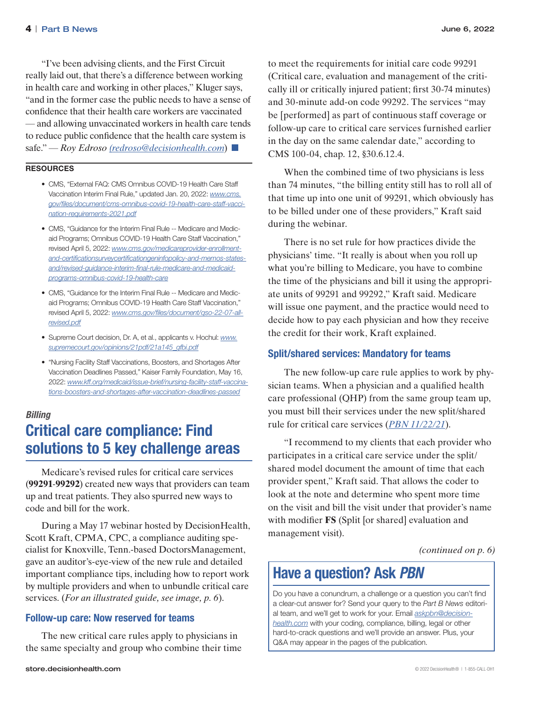"I've been advising clients, and the First Circuit really laid out, that there's a difference between working in health care and working in other places," Kluger says, "and in the former case the public needs to have a sense of confidence that their health care workers are vaccinated — and allowing unvaccinated workers in health care tends to reduce public confidence that the health care system is safe." — *Roy Edroso [\(redroso@decisionhealth.com](mailto:redroso@decisionhealth.com)*)

### RESOURCES

- CMS, "External FAQ: CMS Omnibus COVID-19 Health Care Staff Vaccination Interim Final Rule," updated Jan. 20, 2022: *[www.cms.](http://www.cms.gov/files/document/cms-omnibus-covid-19-health-care-staff-vaccination-requirements-2021.pdf) [gov/files/document/cms-omnibus-covid-19-health-care-staff-vacci](http://www.cms.gov/files/document/cms-omnibus-covid-19-health-care-staff-vaccination-requirements-2021.pdf)[nation-requirements-2021.pdf](http://www.cms.gov/files/document/cms-omnibus-covid-19-health-care-staff-vaccination-requirements-2021.pdf)*
- CMS, "Guidance for the Interim Final Rule -- Medicare and Medicaid Programs; Omnibus COVID-19 Health Care Staff Vaccination," revised April 5, 2022: *[www.cms.gov/medicareprovider-enrollment](http://www.cms.gov/medicareprovider-enrollment-and-certificationsurveycertificationgeninfopolicy-and-memos-states-and/revised-guidance-interim-final-rule-medicare-and-medicaid-programs-omnibus-covid-19-health-care)[and-certificationsurveycertificationgeninfopolicy-and-memos-states](http://www.cms.gov/medicareprovider-enrollment-and-certificationsurveycertificationgeninfopolicy-and-memos-states-and/revised-guidance-interim-final-rule-medicare-and-medicaid-programs-omnibus-covid-19-health-care)[and/revised-guidance-interim-final-rule-medicare-and-medicaid](http://www.cms.gov/medicareprovider-enrollment-and-certificationsurveycertificationgeninfopolicy-and-memos-states-and/revised-guidance-interim-final-rule-medicare-and-medicaid-programs-omnibus-covid-19-health-care)[programs-omnibus-covid-19-health-care](http://www.cms.gov/medicareprovider-enrollment-and-certificationsurveycertificationgeninfopolicy-and-memos-states-and/revised-guidance-interim-final-rule-medicare-and-medicaid-programs-omnibus-covid-19-health-care)*
- CMS, "Guidance for the Interim Final Rule -- Medicare and Medicaid Programs; Omnibus COVID-19 Health Care Staff Vaccination," revised April 5, 2022: *[www.cms.gov/files/document/qso-22-07-all](http://www.cms.gov/files/document/qso-22-07-all-revised.pdf)[revised.pdf](http://www.cms.gov/files/document/qso-22-07-all-revised.pdf)*
- Supreme Court decision, Dr. A, et al., applicants v. Hochul: *[www.](http://www.supremecourt.gov/opinions/21pdf/21a145_gfbi.pdf) [supremecourt.gov/opinions/21pdf/21a145\\_gfbi.pdf](http://www.supremecourt.gov/opinions/21pdf/21a145_gfbi.pdf)*
- "Nursing Facility Staff Vaccinations, Boosters, and Shortages After Vaccination Deadlines Passed," Kaiser Family Foundation, May 16, 2022: *[www.kff.org/medicaid/issue-brief/nursing-facility-staff-vaccina](http://www.kff.org/medicaid/issue-brief/nursing-facility-staff-vaccinations-boosters-and-shortages-after-vaccination-deadlines-passed)[tions-boosters-and-shortages-after-vaccination-deadlines-passed](http://www.kff.org/medicaid/issue-brief/nursing-facility-staff-vaccinations-boosters-and-shortages-after-vaccination-deadlines-passed)*

# *Billing* Critical care compliance: Find solutions to 5 key challenge areas

Medicare's revised rules for critical care services (**99291**-**99292**) created new ways that providers can team up and treat patients. They also spurred new ways to code and bill for the work.

During a May 17 webinar hosted by DecisionHealth, Scott Kraft, CPMA, CPC, a compliance auditing specialist for Knoxville, Tenn.-based DoctorsManagement, gave an auditor's-eye-view of the new rule and detailed important compliance tips, including how to report work by multiple providers and when to unbundle critical care services. (*For an illustrated guide, see image, p. 6*).

### Follow-up care: Now reserved for teams

The new critical care rules apply to physicians in the same specialty and group who combine their time to meet the requirements for initial care code 99291 (Critical care, evaluation and management of the critically ill or critically injured patient; first 30-74 minutes) and 30-minute add-on code 99292. The services "may be [performed] as part of continuous staff coverage or follow-up care to critical care services furnished earlier in the day on the same calendar date," according to CMS 100-04, chap. 12, §30.6.12.4.

When the combined time of two physicians is less than 74 minutes, "the billing entity still has to roll all of that time up into one unit of 99291, which obviously has to be billed under one of these providers," Kraft said during the webinar.

There is no set rule for how practices divide the physicians' time. "It really is about when you roll up what you're billing to Medicare, you have to combine the time of the physicians and bill it using the appropriate units of 99291 and 99292," Kraft said. Medicare will issue one payment, and the practice would need to decide how to pay each physician and how they receive the credit for their work, Kraft explained.

# Split/shared services: Mandatory for teams

The new follow-up care rule applies to work by physician teams. When a physician and a qualified health care professional (QHP) from the same group team up, you must bill their services under the new split/shared rule for critical care services (*[PBN 11/22/21](https://pbn.decisionhealth.com/Articles/List.aspx?newsId=203281)*).

"I recommend to my clients that each provider who participates in a critical care service under the split/ shared model document the amount of time that each provider spent," Kraft said. That allows the coder to look at the note and determine who spent more time on the visit and bill the visit under that provider's name with modifier **FS** (Split [or shared] evaluation and management visit).

*(continued on p. 6)*

# Have a question? Ask *PBN*

Do you have a conundrum, a challenge or a question you can't find a clear-cut answer for? Send your query to the *Part B News* editorial team, and we'll get to work for your. Email *askpbn@decisionhealth.com* with your coding, compliance, billing, legal or other hard-to-crack questions and we'll provide an answer. Plus, your Q&A may appear in the pages of the publication.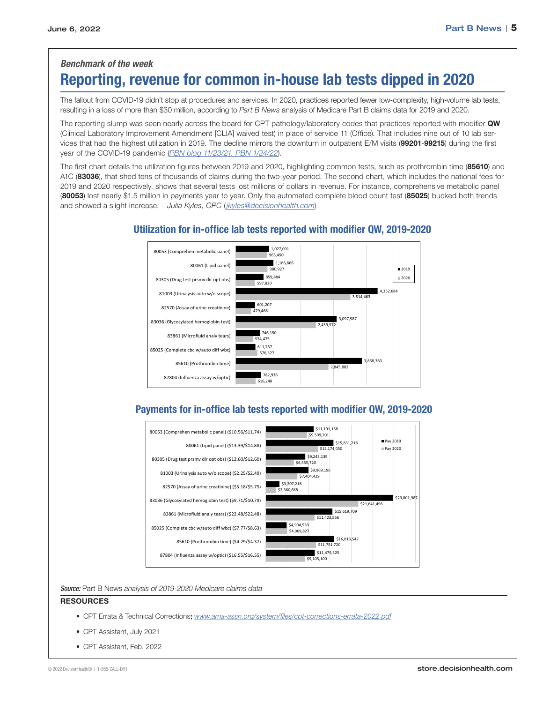# *Benchmark of the week*

# Reporting, revenue for common in-house lab tests dipped in 2020

The fallout from COVID-19 didn't stop at procedures and services. In 2020, practices reported fewer low-complexity, high-volume lab tests, resulting in a loss of more than \$30 million, according to *Part B News* analysis of Medicare Part B claims data for 2019 and 2020.

The reporting slump was seen nearly across the board for CPT pathology/laboratory codes that practices reported with modifier QW (Clinical Laboratory Improvement Amendment [CLIA] waived test) in place of service 11 (Office). That includes nine out of 10 lab services that had the highest utilization in 2019. The decline mirrors the downturn in outpatient E/M visits (99201-99215) during the first year of the COVID-19 pandemic (*[PBN blog 11/23/21,](https://pbn.decisionhealth.com/Blogs/Detail.aspx?id=200980) [PBN 1/24/22](https://pbn.decisionhealth.com/Articles/Detail.aspx?id=534237)*).

The first chart details the utilization figures between 2019 and 2020, highlighting common tests, such as prothrombin time (85610) and A1C (83036), that shed tens of thousands of claims during the two-year period. The second chart, which includes the national fees for 2019 and 2020 respectively, shows that several tests lost millions of dollars in revenue. For instance, comprehensive metabolic panel (80053) lost nearly \$1.5 million in payments year to year. Only the automated complete blood count test (85025) bucked both trends and showed a slight increase. – *Julia Kyles, CPC* (*[jkyles@decisionhealth.com](mailto:jkyles@decisionhealth.com)*)



# Utilization for in-office lab tests reported with modifier QW, 2019-2020

# Payments for in-office lab tests reported with modifier QW, 2019-2020



*Source:* Part B News *analysis of 2019-2020 Medicare claims data*

### **RESOURCES**

- CPT Errata & Technical Corrections: *[www.ama-assn.org/system/files/cpt-corrections-errata-2022.pdf](http://www.ama-assn.org/system/files/cpt-corrections-errata-2022.pdf)*
- CPT Assistant, July 2021
- CPT Assistant, Feb. 2022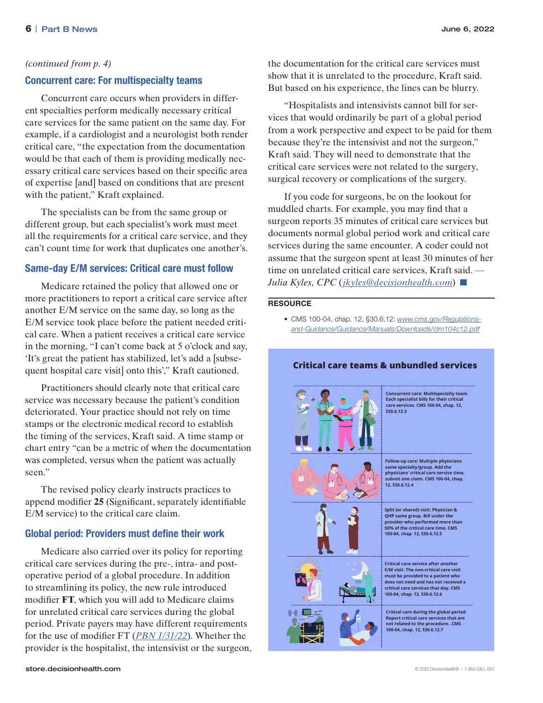### *(continued from p. 4)*

# Concurrent care: For multispecialty teams

Concurrent care occurs when providers in different specialties perform medically necessary critical care services for the same patient on the same day. For example, if a cardiologist and a neurologist both render critical care, "the expectation from the documentation would be that each of them is providing medically necessary critical care services based on their specific area of expertise [and] based on conditions that are present with the patient," Kraft explained.

The specialists can be from the same group or different group, but each specialist's work must meet all the requirements for a critical care service, and they can't count time for work that duplicates one another's.

# Same-day E/M services: Critical care must follow

Medicare retained the policy that allowed one or more practitioners to report a critical care service after another E/M service on the same day, so long as the E/M service took place before the patient needed critical care. When a patient receives a critical care service in the morning, "I can't come back at 5 o'clock and say, 'It's great the patient has stabilized, let's add a [subsequent hospital care visit] onto this'," Kraft cautioned.

Practitioners should clearly note that critical care service was necessary because the patient's condition deteriorated. Your practice should not rely on time stamps or the electronic medical record to establish the timing of the services, Kraft said. A time stamp or chart entry "can be a metric of when the documentation was completed, versus when the patient was actually seen."

The revised policy clearly instructs practices to append modifier **25** (Significant, separately identifiable E/M service) to the critical care claim.

# Global period: Providers must define their work

Medicare also carried over its policy for reporting critical care services during the pre-, intra- and postoperative period of a global procedure. In addition to streamlining its policy, the new rule introduced modifier **FT**, which you will add to Medicare claims for unrelated critical care services during the global period. Private payers may have different requirements for the use of modifier FT (*[PBN 1/31/22](https://pbn.decisionhealth.com/Articles/Detail.aspx?id=534258)*). Whether the provider is the hospitalist, the intensivist or the surgeon, the documentation for the critical care services must show that it is unrelated to the procedure, Kraft said. But based on his experience, the lines can be blurry.

"Hospitalists and intensivists cannot bill for services that would ordinarily be part of a global period from a work perspective and expect to be paid for them because they're the intensivist and not the surgeon," Kraft said. They will need to demonstrate that the critical care services were not related to the surgery, surgical recovery or complications of the surgery.

If you code for surgeons, be on the lookout for muddled charts. For example, you may find that a surgeon reports 35 minutes of critical care services but documents normal global period work and critical care services during the same encounter. A coder could not assume that the surgeon spent at least 30 minutes of her time on unrelated critical care services, Kraft said. — *Julia Kyles, CPC* (*[jkyles@decisionhealth.com](mailto:jkyles@decisionhealth.com)*)

#### **RESOURCE**

• CMS 100-04, chap. 12, §30.6.12: *[www.cms.gov/Regulations](http://www.cms.gov/Regulations-and-Guidance/Guidance/Manuals/Downloads/clm104c12.pdf)[and-Guidance/Guidance/Manuals/Downloads/clm104c12.pdf](http://www.cms.gov/Regulations-and-Guidance/Guidance/Manuals/Downloads/clm104c12.pdf)*



**Critical care teams & unbundled services**

**Concurrent care: Multispecialty team. Each specialist bills for their critical care services. CMS 100-04, chap. 12, §30.6.12.3**

**Follow-up care: Multiple physicians same specialty/group. Add the physicians' critical care service time, submit one claim. CMS 100-04, chap. 12, §30.6.12.4**

**Split (or shared) visit: Physician & QHP same group. Bill under the provider who performed more than 50% of the critical care time. CMS 100-04, chap. 12, §30.6.12.5**





**Critical care service after another E/M visit. The non-critical care visit must be provided to a patient who does not need and has not received a critical care services that day. CMS 100-04, chap. 12, §30.6.12.6**

**Critical care during the global period. Report critical care services that not related to the procedure. .CMS 100-04, chap. 12, §30.6.12.7**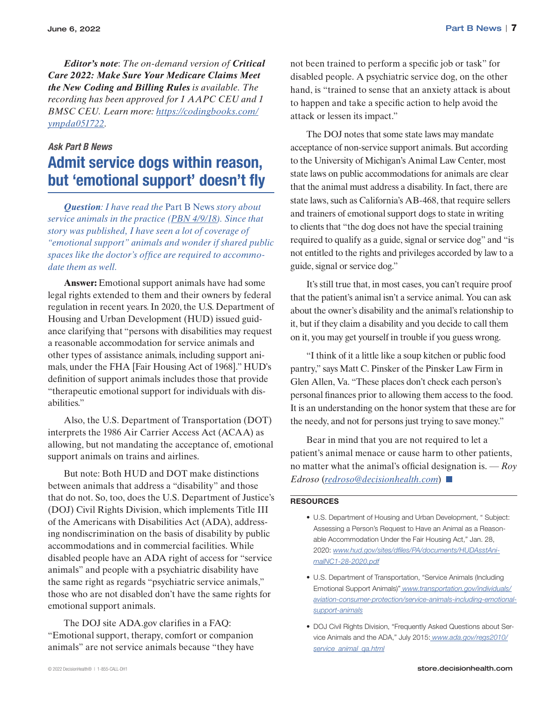June 6, 2022 Part B News | 7

*Editor's note*: *The on-demand version of Critical Care 2022: Make Sure Your Medicare Claims Meet the New Coding and Billing Rules is available. The recording has been approved for 1 AAPC CEU and 1 BMSC CEU. Learn more: [https://codingbooks.com/](https://codingbooks.com/ympda051722) [ympda051722](https://codingbooks.com/ympda051722).*

### *Ask Part B News*

# Admit service dogs within reason, but 'emotional support' doesn't fly

*Question: I have read the* Part B News *story about service animals in the practice ([PBN 4/9/18](https://pbn.decisionhealth.com/Articles/Detail.aspx?id=527128)). Since that story was published, I have seen a lot of coverage of "emotional support" animals and wonder if shared public spaces like the doctor's office are required to accommodate them as well.*

**Answer:** Emotional support animals have had some legal rights extended to them and their owners by federal regulation in recent years. In 2020, the U.S. Department of Housing and Urban Development (HUD) issued guidance clarifying that "persons with disabilities may request a reasonable accommodation for service animals and other types of assistance animals, including support animals, under the FHA [Fair Housing Act of 1968]." HUD's definition of support animals includes those that provide "therapeutic emotional support for individuals with disabilities."

Also, the U.S. Department of Transportation (DOT) interprets the 1986 Air Carrier Access Act (ACAA) as allowing, but not mandating the acceptance of, emotional support animals on trains and airlines.

But note: Both HUD and DOT make distinctions between animals that address a "disability" and those that do not. So, too, does the U.S. Department of Justice's (DOJ) Civil Rights Division, which implements Title III of the Americans with Disabilities Act (ADA), addressing nondiscrimination on the basis of disability by public accommodations and in commercial facilities. While disabled people have an ADA right of access for "service animals" and people with a psychiatric disability have the same right as regards "psychiatric service animals," those who are not disabled don't have the same rights for emotional support animals.

The DOJ site [ADA.gov](http://ADA.gov) clarifies in a FAQ: "Emotional support, therapy, comfort or companion animals" are not service animals because "they have

hand, is "trained to sense that an anxiety attack is about to happen and take a specific action to help avoid the attack or lessen its impact." The DOJ notes that some state laws may mandate

acceptance of non-service support animals. But according to the University of Michigan's Animal Law Center, most state laws on public accommodations for animals are clear that the animal must address a disability. In fact, there are state laws, such as California's AB-468, that require sellers and trainers of emotional support dogs to state in writing to clients that "the dog does not have the special training required to qualify as a guide, signal or service dog" and "is not entitled to the rights and privileges accorded by law to a guide, signal or service dog."

not been trained to perform a specific job or task" for disabled people. A psychiatric service dog, on the other

It's still true that, in most cases, you can't require proof that the patient's animal isn't a service animal. You can ask about the owner's disability and the animal's relationship to it, but if they claim a disability and you decide to call them on it, you may get yourself in trouble if you guess wrong.

"I think of it a little like a soup kitchen or public food pantry," says Matt C. Pinsker of the Pinsker Law Firm in Glen Allen, Va. "These places don't check each person's personal finances prior to allowing them access to the food. It is an understanding on the honor system that these are for the needy, and not for persons just trying to save money."

Bear in mind that you are not required to let a patient's animal menace or cause harm to other patients, no matter what the animal's official designation is. — *Roy Edroso* (*[redroso@decisionhealth.com](mailto:redroso@decisionhealth.com)*)

### **RESOURCES**

- U.S. Department of Housing and Urban Development, " Subject: Assessing a Person's Request to Have an Animal as a Reasonable Accommodation Under the Fair Housing Act," Jan. 28, 2020: *[www.hud.gov/sites/dfiles/PA/documents/HUDAsstAni](http://www.hud.gov/sites/dfiles/PA/documents/HUDAsstAnimalNC1-28-2020.pdf)[malNC1-28-2020.pdf](http://www.hud.gov/sites/dfiles/PA/documents/HUDAsstAnimalNC1-28-2020.pdf)*
- U.S. Department of Transportation, "Service Animals (Including Emotional Support Animals)" *[www.transportation.gov/individuals/](http://www.transportation.gov/individuals/aviation-consumer-protection/service-animals-including-emotional-support-animals) [aviation-consumer-protection/service-animals-including-emotional](http://www.transportation.gov/individuals/aviation-consumer-protection/service-animals-including-emotional-support-animals)[support-animals](http://www.transportation.gov/individuals/aviation-consumer-protection/service-animals-including-emotional-support-animals)*
- DOJ Civil Rights Division, "Frequently Asked Questions about Service Animals and the ADA," July 2015: *[www.ada.gov/regs2010/](http://www.ada.gov/regs2010/service_animal_qa.html) [service\\_animal\\_qa.html](http://www.ada.gov/regs2010/service_animal_qa.html)*